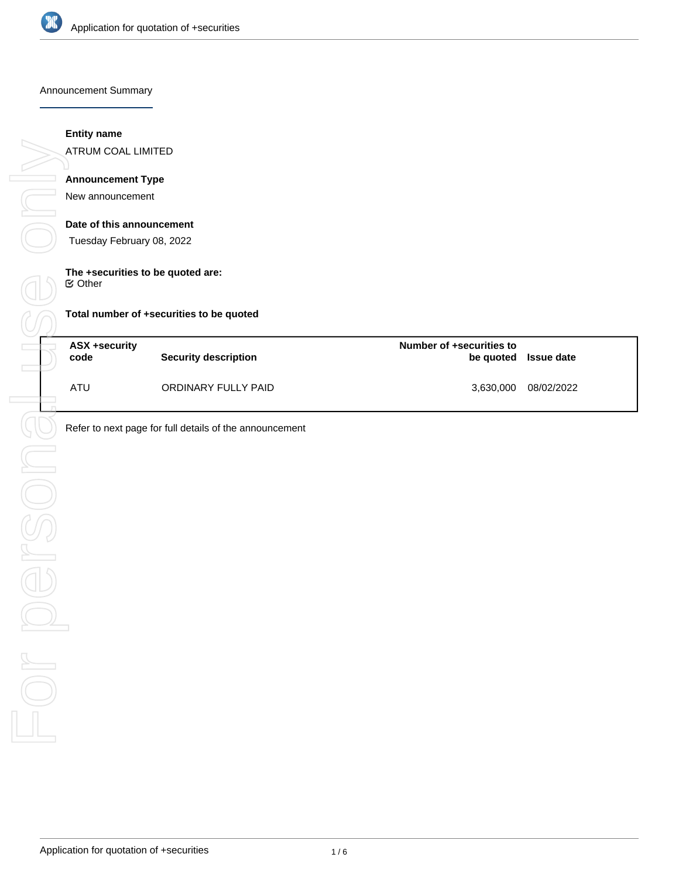

Announcement Summary

### **Entity name**

ATRUM COAL LIMITED

### **Announcement Type**

New announcement

#### **Date of this announcement**

Tuesday February 08, 2022

# **The +securities to be quoted are:**

Other

| Total number of +securities to be quoted |  |  |  |  |
|------------------------------------------|--|--|--|--|
|------------------------------------------|--|--|--|--|

| ASX +security<br>code | <b>Security description</b> | Number of +securities to | be quoted Issue date |
|-----------------------|-----------------------------|--------------------------|----------------------|
| ATU                   | ORDINARY FULLY PAID         | 3,630,000                | 08/02/2022           |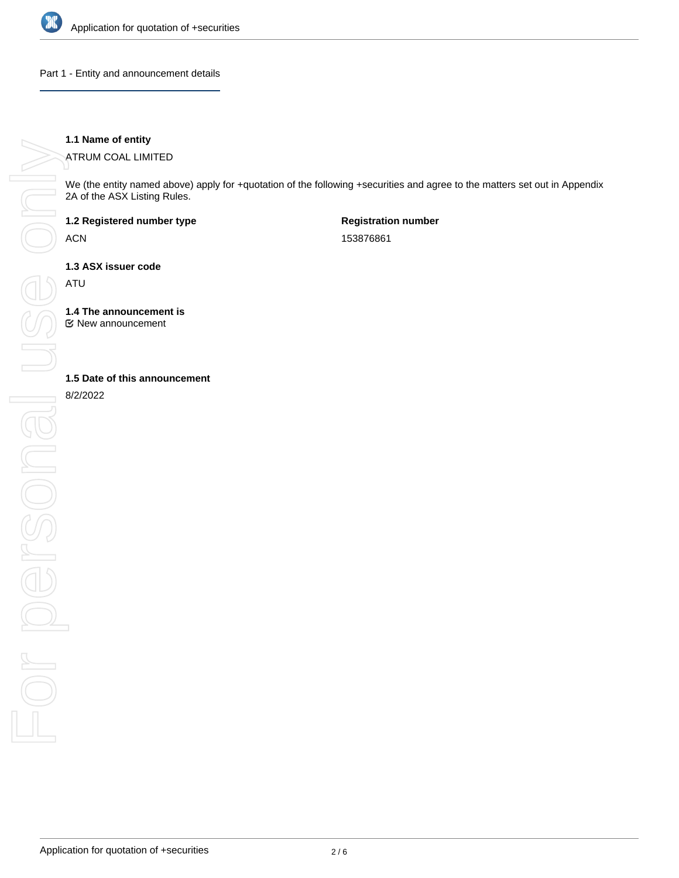

Part 1 - Entity and announcement details

### **1.1 Name of entity**

ATRUM COAL LIMITED

We (the entity named above) apply for +quotation of the following +securities and agree to the matters set out in Appendix 2A of the ASX Listing Rules.

**1.2 Registered number type**

ACN

**Registration number** 153876861

**1.3 ASX issuer code**

ATU

**1.4 The announcement is**

New announcement

8/2/2022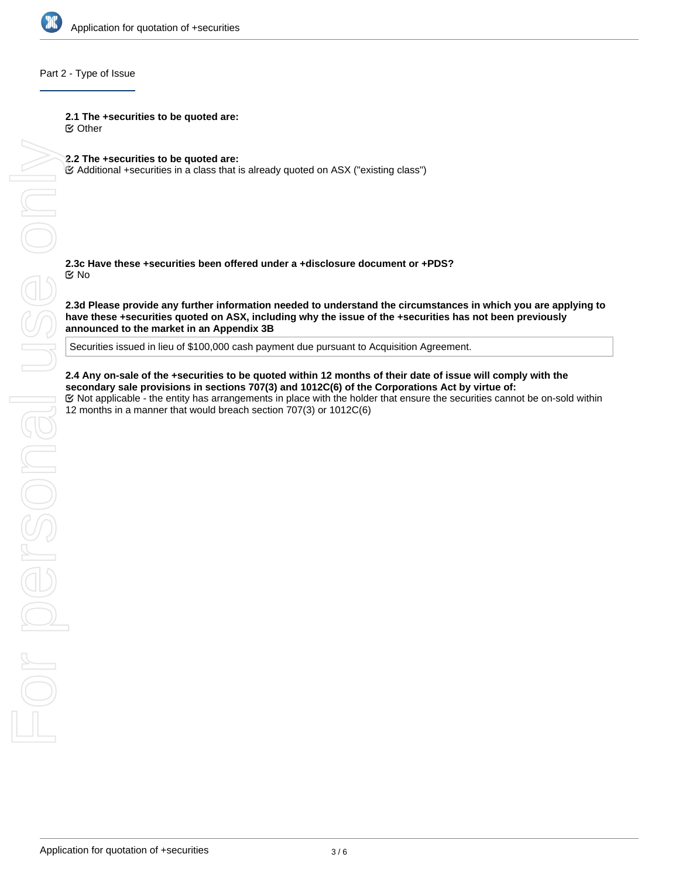

#### Part 2 - Type of Issue

**2.1 The +securities to be quoted are:**

Other

**2.2 The +securities to be quoted are:**

Additional +securities in a class that is already quoted on ASX ("existing class")

**2.3c Have these +securities been offered under a +disclosure document or +PDS?** No

**2.3d Please provide any further information needed to understand the circumstances in which you are applying to have these +securities quoted on ASX, including why the issue of the +securities has not been previously announced to the market in an Appendix 3B**

Securities issued in lieu of \$100,000 cash payment due pursuant to Acquisition Agreement.

**2.4 Any on-sale of the +securities to be quoted within 12 months of their cate of tissue will comply with the explicable - the entity has arrangements in place with the EQT bot applicable - the entity has arrangements in secondary sale provisions in sections 707(3) and 1012C(6) of the Corporations Act by virtue of:** Not applicable - the entity has arrangements in place with the holder that ensure the securities cannot be on-sold within 12 months in a manner that would breach section 707(3) or 1012C(6)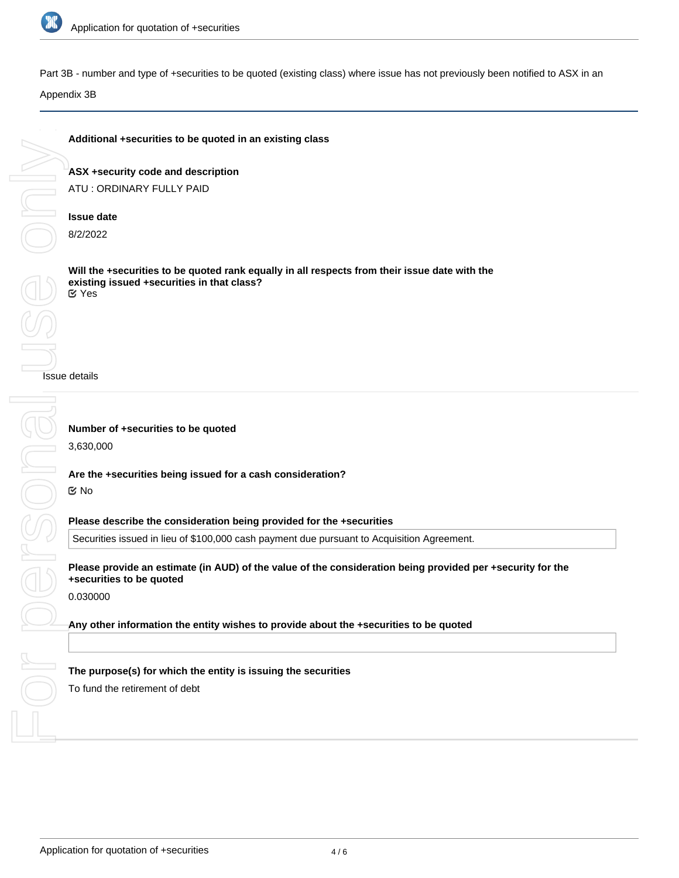

On

Part 3B - number and type of +securities to be quoted (existing class) where issue has not previously been notified to ASX in an

Appendix 3B

## **Additional +securities to be quoted in an existing class**

**ASX +security code and description** ATU : ORDINARY FULLY PAID

### **Issue date**

8/2/2022

**Will the +securities to be quoted rank equally in all respects from their issue date with the existing issued +securities in that class?** Yes

Securities issued in lieu of \$100,000 cash payment due pursuant to Acquisition Agreement.

Issue details

For personal Jeuse only persona **Number of +securities to be quoted** 3,630,000 **Are the +securities being issued for a cash consideration?** No **Please describe the consideration being provided for the +securities Please provide an estimate (in AUD) of the value of the consideration being provided per +security for the +securities to be quoted** 0.030000 **Any other information the entity wishes to provide about the +securities to be quoted The purpose(s) for which the entity is issuing the securities** To fund the retirement of debt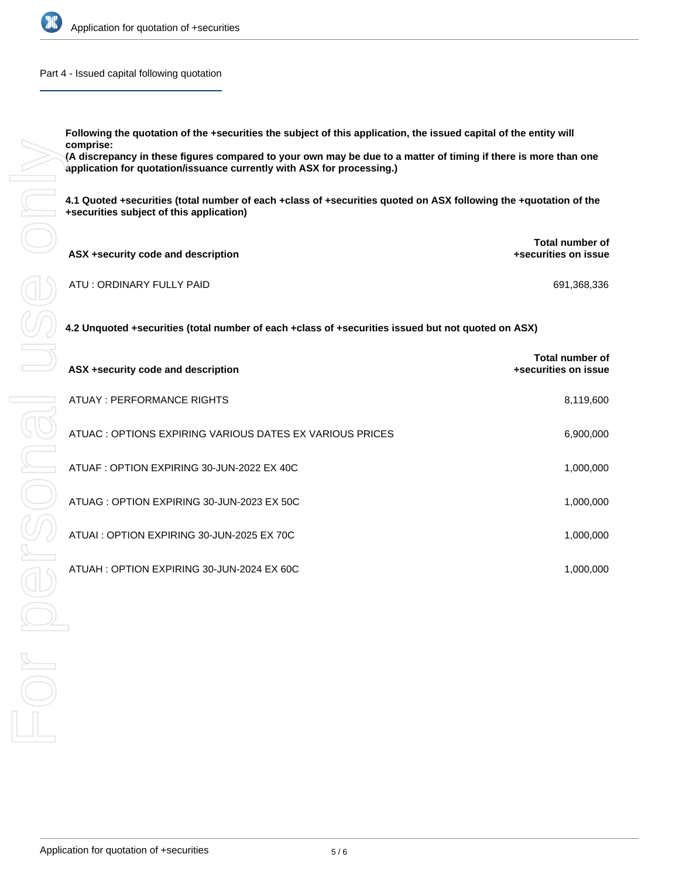

Part 4 - Issued capital following quotation

**Following the quotation of the +securities the subject of this application, the issued capital of the entity will comprise:**

| ASX +security code and description | <b>Total number of</b><br>+securities on issue |
|------------------------------------|------------------------------------------------|
| ATU : ORDINARY FULLY PAID          | 691,368,336                                    |

| comprise:<br>(A discrepancy in these figures compared to your own may be due to a matter of timing if there is more than one<br>application for quotation/issuance currently with ASX for processing.) |                                         |  |  |  |
|--------------------------------------------------------------------------------------------------------------------------------------------------------------------------------------------------------|-----------------------------------------|--|--|--|
| 4.1 Quoted +securities (total number of each +class of +securities quoted on ASX following the +quotation of the<br>+securities subject of this application)                                           |                                         |  |  |  |
| ASX +security code and description                                                                                                                                                                     | Total number of<br>+securities on issue |  |  |  |
| ATU: ORDINARY FULLY PAID                                                                                                                                                                               | 691,368,336                             |  |  |  |
| 4.2 Unquoted +securities (total number of each +class of +securities issued but not quoted on ASX)                                                                                                     |                                         |  |  |  |
| ASX +security code and description                                                                                                                                                                     | Total number of<br>+securities on issue |  |  |  |
| ATUAY : PERFORMANCE RIGHTS                                                                                                                                                                             | 8,119,600                               |  |  |  |
| ATUAC : OPTIONS EXPIRING VARIOUS DATES EX VARIOUS PRICES                                                                                                                                               | 6,900,000                               |  |  |  |
| ATUAF : OPTION EXPIRING 30-JUN-2022 EX 40C                                                                                                                                                             | 1,000,000                               |  |  |  |
| ATUAG : OPTION EXPIRING 30-JUN-2023 EX 50C                                                                                                                                                             | 1,000,000                               |  |  |  |
| ATUAI : OPTION EXPIRING 30-JUN-2025 EX 70C                                                                                                                                                             | 1,000,000                               |  |  |  |
| ATUAH: OPTION EXPIRING 30-JUN-2024 EX 60C                                                                                                                                                              | 1,000,000                               |  |  |  |
|                                                                                                                                                                                                        |                                         |  |  |  |
|                                                                                                                                                                                                        |                                         |  |  |  |
|                                                                                                                                                                                                        |                                         |  |  |  |
|                                                                                                                                                                                                        |                                         |  |  |  |